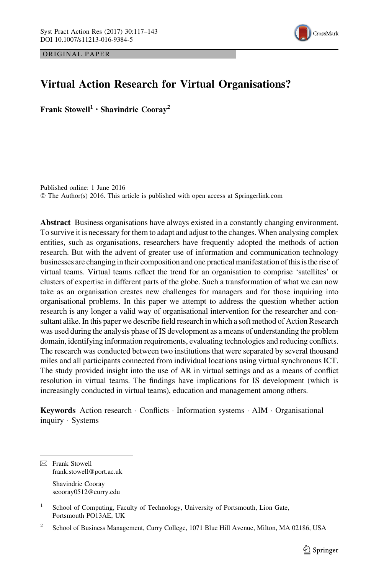ORIGINAL PAPER



# Virtual Action Research for Virtual Organisations?

Frank Stowell<sup>1</sup> · Shavindrie Coorav<sup>2</sup>

Published online: 1 June 2016 © The Author(s) 2016. This article is published with open access at Springerlink.com

Abstract Business organisations have always existed in a constantly changing environment. To survive it is necessary for them to adapt and adjust to the changes. When analysing complex entities, such as organisations, researchers have frequently adopted the methods of action research. But with the advent of greater use of information and communication technology businesses are changing in their composition and one practical manifestation of this is the rise of virtual teams. Virtual teams reflect the trend for an organisation to comprise 'satellites' or clusters of expertise in different parts of the globe. Such a transformation of what we can now take as an organisation creates new challenges for managers and for those inquiring into organisational problems. In this paper we attempt to address the question whether action research is any longer a valid way of organisational intervention for the researcher and consultant alike. In this paper we describe field research in which a soft method of Action Research was used during the analysis phase of IS development as a means of understanding the problem domain, identifying information requirements, evaluating technologies and reducing conflicts. The research was conducted between two institutions that were separated by several thousand miles and all participants connected from individual locations using virtual synchronous ICT. The study provided insight into the use of AR in virtual settings and as a means of conflict resolution in virtual teams. The findings have implications for IS development (which is increasingly conducted in virtual teams), education and management among others.

Keywords Action research · Conflicts · Information systems · AIM · Organisational inquiry - Systems

 $\boxtimes$  Frank Stowell frank.stowell@port.ac.uk Shavindrie Cooray

scooray0512@curry.edu

<sup>1</sup> School of Computing, Faculty of Technology, University of Portsmouth, Lion Gate, Portsmouth PO13AE, UK

<sup>&</sup>lt;sup>2</sup> School of Business Management, Curry College, 1071 Blue Hill Avenue, Milton, MA 02186, USA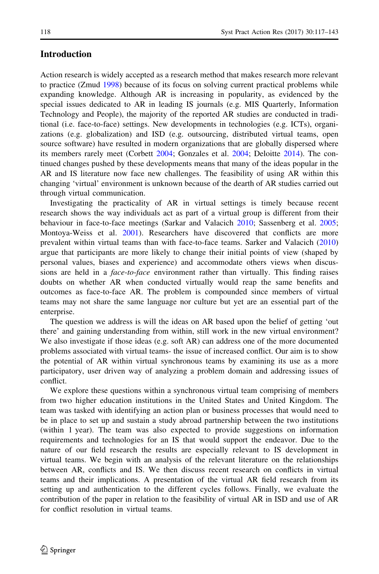# Introduction

Action research is widely accepted as a research method that makes research more relevant to practice (Zmud [1998](#page-26-0)) because of its focus on solving current practical problems while expanding knowledge. Although AR is increasing in popularity, as evidenced by the special issues dedicated to AR in leading IS journals (e.g. MIS Quarterly, Information Technology and People), the majority of the reported AR studies are conducted in traditional (i.e. face-to-face) settings. New developments in technologies (e.g. ICTs), organizations (e.g. globalization) and ISD (e.g. outsourcing, distributed virtual teams, open source software) have resulted in modern organizations that are globally dispersed where its members rarely meet (Corbett [2004](#page-24-0); Gonzales et al. [2004](#page-25-0); Deloitte [2014\)](#page-24-0). The continued changes pushed by these developments means that many of the ideas popular in the AR and IS literature now face new challenges. The feasibility of using AR within this changing 'virtual' environment is unknown because of the dearth of AR studies carried out through virtual communication.

Investigating the practicality of AR in virtual settings is timely because recent research shows the way individuals act as part of a virtual group is different from their behaviour in face-to-face meetings (Sarkar and Valacich [2010;](#page-25-0) Sassenberg et al. [2005;](#page-25-0) Montoya-Weiss et al. [2001](#page-25-0)). Researchers have discovered that conflicts are more prevalent within virtual teams than with face-to-face teams. Sarker and Valacich ([2010](#page-25-0)) argue that participants are more likely to change their initial points of view (shaped by personal values, biases and experience) and accommodate others views when discussions are held in a *face-to-face* environment rather than virtually. This finding raises doubts on whether AR when conducted virtually would reap the same benefits and outcomes as face-to-face AR. The problem is compounded since members of virtual teams may not share the same language nor culture but yet are an essential part of the enterprise.

The question we address is will the ideas on AR based upon the belief of getting 'out there' and gaining understanding from within, still work in the new virtual environment? We also investigate if those ideas (e.g. soft AR) can address one of the more documented problems associated with virtual teams- the issue of increased conflict. Our aim is to show the potential of AR within virtual synchronous teams by examining its use as a more participatory, user driven way of analyzing a problem domain and addressing issues of conflict.

We explore these questions within a synchronous virtual team comprising of members from two higher education institutions in the United States and United Kingdom. The team was tasked with identifying an action plan or business processes that would need to be in place to set up and sustain a study abroad partnership between the two institutions (within 1 year). The team was also expected to provide suggestions on information requirements and technologies for an IS that would support the endeavor. Due to the nature of our field research the results are especially relevant to IS development in virtual teams. We begin with an analysis of the relevant literature on the relationships between AR, conflicts and IS. We then discuss recent research on conflicts in virtual teams and their implications. A presentation of the virtual AR field research from its setting up and authentication to the different cycles follows. Finally, we evaluate the contribution of the paper in relation to the feasibility of virtual AR in ISD and use of AR for conflict resolution in virtual teams.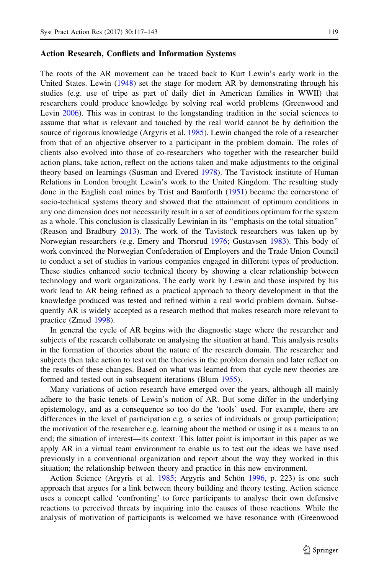#### Action Research, Conflicts and Information Systems

The roots of the AR movement can be traced back to Kurt Lewin's early work in the United States. Lewin ([1948\)](#page-25-0) set the stage for modern AR by demonstrating through his studies (e.g. use of tripe as part of daily diet in American families in WWII) that researchers could produce knowledge by solving real world problems (Greenwood and Levin [2006](#page-25-0)). This was in contrast to the longstanding tradition in the social sciences to assume that what is relevant and touched by the real world cannot be by definition the source of rigorous knowledge (Argyris et al. [1985\)](#page-24-0). Lewin changed the role of a researcher from that of an objective observer to a participant in the problem domain. The roles of clients also evolved into those of co-researchers who together with the researcher build action plans, take action, reflect on the actions taken and make adjustments to the original theory based on learnings (Susman and Evered [1978](#page-26-0)). The Tavistock institute of Human Relations in London brought Lewin's work to the United Kingdom. The resulting study done in the English coal mines by Trist and Bamforth ([1951\)](#page-26-0) became the cornerstone of socio-technical systems theory and showed that the attainment of optimum conditions in any one dimension does not necessarily result in a set of conditions optimum for the system as a whole. This conclusion is classically Lewinian in its ''emphasis on the total situation'' (Reason and Bradbury [2013](#page-25-0)). The work of the Tavistock researchers was taken up by Norwegian researchers (e.g. Emery and Thorsrud [1976;](#page-24-0) Gustavsen [1983](#page-25-0)). This body of work convinced the Norwegian Confederation of Employers and the Trade Union Council to conduct a set of studies in various companies engaged in different types of production. These studies enhanced socio technical theory by showing a clear relationship between technology and work organizations. The early work by Lewin and those inspired by his work lead to AR being refined as a practical approach to theory development in that the knowledge produced was tested and refined within a real world problem domain. Subsequently AR is widely accepted as a research method that makes research more relevant to practice (Zmud [1998\)](#page-26-0).

In general the cycle of AR begins with the diagnostic stage where the researcher and subjects of the research collaborate on analysing the situation at hand. This analysis results in the formation of theories about the nature of the research domain. The researcher and subjects then take action to test out the theories in the problem domain and later reflect on the results of these changes. Based on what was learned from that cycle new theories are formed and tested out in subsequent iterations (Blum [1955](#page-24-0)).

Many variations of action research have emerged over the years, although all mainly adhere to the basic tenets of Lewin's notion of AR. But some differ in the underlying epistemology, and as a consequence so too do the 'tools' used. For example, there are differences in the level of participation e.g. a series of individuals or group participation; the motivation of the researcher e.g. learning about the method or using it as a means to an end; the situation of interest—its context. This latter point is important in this paper as we apply AR in a virtual team environment to enable us to test out the ideas we have used previously in a conventional organization and report about the way they worked in this situation; the relationship between theory and practice in this new environment.

Action Science (Argyris et al. [1985](#page-24-0); Argyris and Schön [1996,](#page-24-0) p. 223) is one such approach that argues for a link between theory building and theory testing. Action science uses a concept called 'confronting' to force participants to analyse their own defensive reactions to perceived threats by inquiring into the causes of those reactions. While the analysis of motivation of participants is welcomed we have resonance with (Greenwood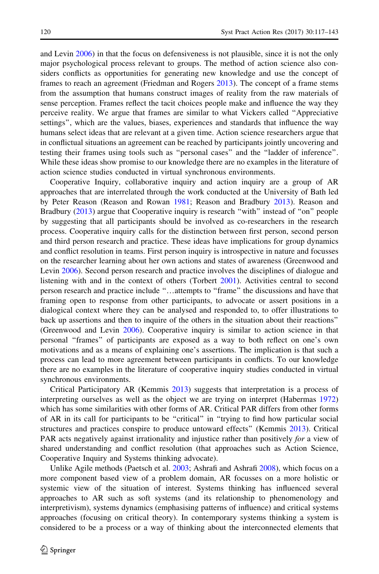and Levin [2006\)](#page-25-0) in that the focus on defensiveness is not plausible, since it is not the only major psychological process relevant to groups. The method of action science also considers conflicts as opportunities for generating new knowledge and use the concept of frames to reach an agreement (Friedman and Rogers [2013](#page-25-0)). The concept of a frame stems from the assumption that humans construct images of reality from the raw materials of sense perception. Frames reflect the tacit choices people make and influence the way they perceive reality. We argue that frames are similar to what Vickers called ''Appreciative settings'', which are the values, biases, experiences and standards that influence the way humans select ideas that are relevant at a given time. Action science researchers argue that in conflictual situations an agreement can be reached by participants jointly uncovering and testing their frames using tools such as ''personal cases'' and the ''ladder of inference''. While these ideas show promise to our knowledge there are no examples in the literature of action science studies conducted in virtual synchronous environments.

Cooperative Inquiry, collaborative inquiry and action inquiry are a group of AR approaches that are interrelated through the work conducted at the University of Bath led by Peter Reason (Reason and Rowan [1981](#page-25-0); Reason and Bradbury [2013\)](#page-25-0). Reason and Bradbury [\(2013](#page-25-0)) argue that Cooperative inquiry is research "with" instead of "on" people by suggesting that all participants should be involved as co-researchers in the research process. Cooperative inquiry calls for the distinction between first person, second person and third person research and practice. These ideas have implications for group dynamics and conflict resolution in teams. First person inquiry is introspective in nature and focusses on the researcher learning about her own actions and states of awareness (Greenwood and Levin [2006\)](#page-25-0). Second person research and practice involves the disciplines of dialogue and listening with and in the context of others (Torbert [2001\)](#page-26-0). Activities central to second person research and practice include ''…attempts to ''frame'' the discussions and have that framing open to response from other participants, to advocate or assert positions in a dialogical context where they can be analysed and responded to, to offer illustrations to back up assertions and then to inquire of the others in the situation about their reactions'' (Greenwood and Levin [2006\)](#page-25-0). Cooperative inquiry is similar to action science in that personal ''frames'' of participants are exposed as a way to both reflect on one's own motivations and as a means of explaining one's assertions. The implication is that such a process can lead to more agreement between participants in conflicts. To our knowledge there are no examples in the literature of cooperative inquiry studies conducted in virtual synchronous environments.

Critical Participatory AR (Kemmis [2013](#page-25-0)) suggests that interpretation is a process of interpreting ourselves as well as the object we are trying on interpret (Habermas [1972](#page-25-0)) which has some similarities with other forms of AR. Critical PAR differs from other forms of AR in its call for participants to be ''critical'' in ''trying to find how particular social structures and practices conspire to produce untoward effects'' (Kemmis [2013\)](#page-25-0). Critical PAR acts negatively against irrationality and injustice rather than positively for a view of shared understanding and conflict resolution (that approaches such as Action Science, Cooperative Inquiry and Systems thinking advocate).

Unlike Agile methods (Paetsch et al. [2003](#page-25-0); Ashrafi and Ashrafi [2008\)](#page-24-0), which focus on a more component based view of a problem domain, AR focusses on a more holistic or systemic view of the situation of interest. Systems thinking has influenced several approaches to AR such as soft systems (and its relationship to phenomenology and interpretivism), systems dynamics (emphasising patterns of influence) and critical systems approaches (focusing on critical theory). In contemporary systems thinking a system is considered to be a process or a way of thinking about the interconnected elements that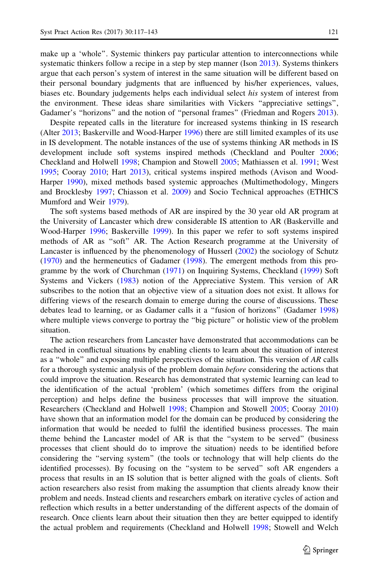make up a 'whole''. Systemic thinkers pay particular attention to interconnections while systematic thinkers follow a recipe in a step by step manner (Ison [2013\)](#page-25-0). Systems thinkers argue that each person's system of interest in the same situation will be different based on their personal boundary judgments that are influenced by his/her experiences, values, biases etc. Boundary judgements helps each individual select his system of interest from the environment. These ideas share similarities with Vickers ''appreciative settings'', Gadamer's "horizons" and the notion of "personal frames" (Friedman and Rogers [2013](#page-25-0)).

Despite repeated calls in the literature for increased systems thinking in IS research (Alter [2013;](#page-24-0) Baskerville and Wood-Harper [1996](#page-24-0)) there are still limited examples of its use in IS development. The notable instances of the use of systems thinking AR methods in IS development include soft systems inspired methods (Checkland and Poulter [2006;](#page-24-0) Checkland and Holwell [1998](#page-24-0); Champion and Stowell [2005;](#page-24-0) Mathiassen et al. [1991](#page-25-0); West [1995;](#page-26-0) Cooray [2010](#page-24-0); Hart [2013\)](#page-25-0), critical systems inspired methods (Avison and Wood-Harper [1990](#page-24-0)), mixed methods based systemic approaches (Multimethodology, Mingers and Brocklesby [1997](#page-25-0); Chiasson et al. [2009](#page-24-0)) and Socio Technical approaches (ETHICS Mumford and Weir [1979](#page-25-0)).

The soft systems based methods of AR are inspired by the 30 year old AR program at the University of Lancaster which drew considerable IS attention to AR (Baskerville and Wood-Harper [1996;](#page-24-0) Baskerville [1999\)](#page-24-0). In this paper we refer to soft systems inspired methods of AR as ''soft'' AR. The Action Research programme at the University of Lancaster is influenced by the phenomenology of Husserl [\(2002](#page-25-0)) the sociology of Schutz ([1970\)](#page-25-0) and the hermeneutics of Gadamer ([1998\)](#page-25-0). The emergent methods from this programme by the work of Churchman [\(1971\)](#page-24-0) on Inquiring Systems, Checkland ([1999\)](#page-24-0) Soft Systems and Vickers ([1983\)](#page-26-0) notion of the Appreciative System. This version of AR subscribes to the notion that an objective view of a situation does not exist. It allows for differing views of the research domain to emerge during the course of discussions. These debates lead to learning, or as Gadamer calls it a ''fusion of horizons'' (Gadamer [1998](#page-25-0)) where multiple views converge to portray the ''big picture'' or holistic view of the problem situation.

The action researchers from Lancaster have demonstrated that accommodations can be reached in conflictual situations by enabling clients to learn about the situation of interest as a "whole" and exposing multiple perspectives of the situation. This version of AR calls for a thorough systemic analysis of the problem domain *before* considering the actions that could improve the situation. Research has demonstrated that systemic learning can lead to the identification of the actual 'problem' (which sometimes differs from the original perception) and helps define the business processes that will improve the situation. Researchers (Checkland and Holwell [1998](#page-24-0); Champion and Stowell [2005;](#page-24-0) Cooray [2010](#page-24-0)) have shown that an information model for the domain can be produced by considering the information that would be needed to fulfil the identified business processes. The main theme behind the Lancaster model of AR is that the ''system to be served'' (business processes that client should do to improve the situation) needs to be identified before considering the ''serving system'' (the tools or technology that will help clients do the identified processes). By focusing on the ''system to be served'' soft AR engenders a process that results in an IS solution that is better aligned with the goals of clients. Soft action researchers also resist from making the assumption that clients already know their problem and needs. Instead clients and researchers embark on iterative cycles of action and reflection which results in a better understanding of the different aspects of the domain of research. Once clients learn about their situation then they are better equipped to identify the actual problem and requirements (Checkland and Holwell [1998;](#page-24-0) Stowell and Welch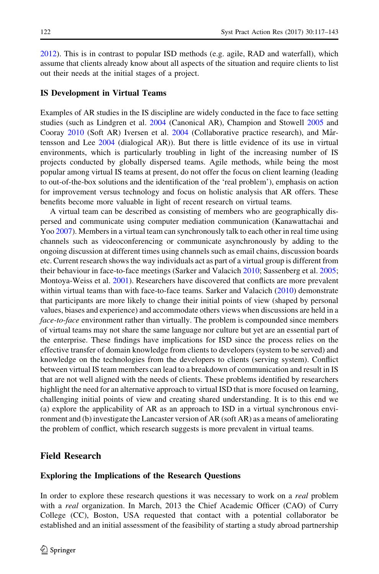[2012\)](#page-26-0). This is in contrast to popular ISD methods (e.g. agile, RAD and waterfall), which assume that clients already know about all aspects of the situation and require clients to list out their needs at the initial stages of a project.

#### IS Development in Virtual Teams

Examples of AR studies in the IS discipline are widely conducted in the face to face setting studies (such as Lindgren et al. [2004](#page-25-0) (Canonical AR), Champion and Stowell [2005](#page-24-0) and Cooray [2010](#page-24-0) (Soft AR) Iversen et al. [2004](#page-25-0) (Collaborative practice research), and Mårtensson and Lee [2004](#page-25-0) (dialogical AR)). But there is little evidence of its use in virtual environments, which is particularly troubling in light of the increasing number of IS projects conducted by globally dispersed teams. Agile methods, while being the most popular among virtual IS teams at present, do not offer the focus on client learning (leading to out-of-the-box solutions and the identification of the 'real problem'), emphasis on action for improvement versus technology and focus on holistic analysis that AR offers. These benefits become more valuable in light of recent research on virtual teams.

A virtual team can be described as consisting of members who are geographically dispersed and communicate using computer mediation communication (Kanawattachai and Yoo [2007\)](#page-25-0). Members in a virtual team can synchronously talk to each other in real time using channels such as videoconferencing or communicate asynchronously by adding to the ongoing discussion at different times using channels such as email chains, discussion boards etc. Current research shows the way individuals act as part of a virtual group is different from their behaviour in face-to-face meetings (Sarker and Valacich [2010;](#page-25-0) Sassenberg et al. [2005;](#page-25-0) Montoya-Weiss et al. [2001\)](#page-25-0). Researchers have discovered that conflicts are more prevalent within virtual teams than with face-to-face teams. Sarker and Valacich ([2010\)](#page-25-0) demonstrate that participants are more likely to change their initial points of view (shaped by personal values, biases and experience) and accommodate others views when discussions are held in a face-to-face environment rather than virtually. The problem is compounded since members of virtual teams may not share the same language nor culture but yet are an essential part of the enterprise. These findings have implications for ISD since the process relies on the effective transfer of domain knowledge from clients to developers (system to be served) and knowledge on the technologies from the developers to clients (serving system). Conflict between virtual IS team members can lead to a breakdown of communication and result in IS that are not well aligned with the needs of clients. These problems identified by researchers highlight the need for an alternative approach to virtual ISD that is more focused on learning, challenging initial points of view and creating shared understanding. It is to this end we (a) explore the applicability of AR as an approach to ISD in a virtual synchronous environment and (b) investigate the Lancaster version of AR (soft AR) as a means of ameliorating the problem of conflict, which research suggests is more prevalent in virtual teams.

## Field Research

#### Exploring the Implications of the Research Questions

In order to explore these research questions it was necessary to work on a *real* problem with a real organization. In March, 2013 the Chief Academic Officer (CAO) of Curry College (CC), Boston, USA requested that contact with a potential collaborator be established and an initial assessment of the feasibility of starting a study abroad partnership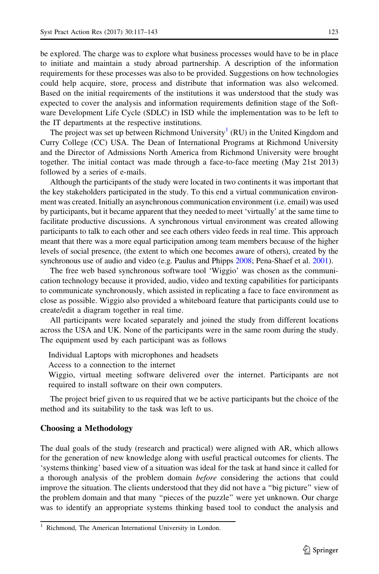be explored. The charge was to explore what business processes would have to be in place to initiate and maintain a study abroad partnership. A description of the information requirements for these processes was also to be provided. Suggestions on how technologies could help acquire, store, process and distribute that information was also welcomed. Based on the initial requirements of the institutions it was understood that the study was expected to cover the analysis and information requirements definition stage of the Software Development Life Cycle (SDLC) in ISD while the implementation was to be left to the IT departments at the respective institutions.

The project was set up between Richmond University<sup>1</sup> (RU) in the United Kingdom and Curry College (CC) USA. The Dean of International Programs at Richmond University and the Director of Admissions North America from Richmond University were brought together. The initial contact was made through a face-to-face meeting (May 21st 2013) followed by a series of e-mails.

Although the participants of the study were located in two continents it was important that the key stakeholders participated in the study. To this end a virtual communication environment was created. Initially an asynchronous communication environment (i.e. email) was used by participants, but it became apparent that they needed to meet 'virtually' at the same time to facilitate productive discussions. A synchronous virtual environment was created allowing participants to talk to each other and see each others video feeds in real time. This approach meant that there was a more equal participation among team members because of the higher levels of social presence, (the extent to which one becomes aware of others), created by the synchronous use of audio and video (e.g. Paulus and Phipps [2008;](#page-25-0) Pena-Shaef et al. [2001](#page-25-0)).

The free web based synchronous software tool 'Wiggio' was chosen as the communication technology because it provided, audio, video and texting capabilities for participants to communicate synchronously, which assisted in replicating a face to face environment as close as possible. Wiggio also provided a whiteboard feature that participants could use to create/edit a diagram together in real time.

All participants were located separately and joined the study from different locations across the USA and UK. None of the participants were in the same room during the study. The equipment used by each participant was as follows

Individual Laptops with microphones and headsets

Access to a connection to the internet

Wiggio, virtual meeting software delivered over the internet. Participants are not required to install software on their own computers.

The project brief given to us required that we be active participants but the choice of the method and its suitability to the task was left to us.

## Choosing a Methodology

The dual goals of the study (research and practical) were aligned with AR, which allows for the generation of new knowledge along with useful practical outcomes for clients. The 'systems thinking' based view of a situation was ideal for the task at hand since it called for a thorough analysis of the problem domain before considering the actions that could improve the situation. The clients understood that they did not have a ''big picture'' view of the problem domain and that many ''pieces of the puzzle'' were yet unknown. Our charge was to identify an appropriate systems thinking based tool to conduct the analysis and

Richmond, The American International University in London.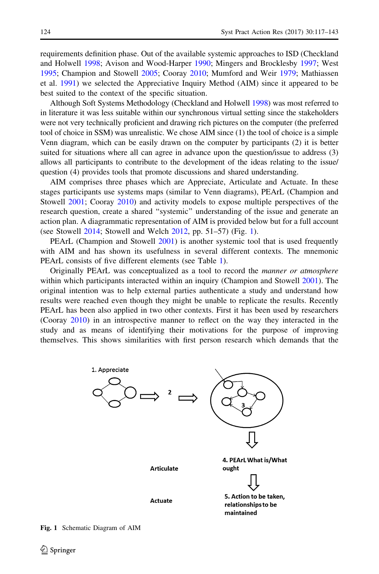requirements definition phase. Out of the available systemic approaches to ISD (Checkland and Holwell [1998](#page-24-0); Avison and Wood-Harper [1990](#page-24-0); Mingers and Brocklesby [1997](#page-25-0); West [1995;](#page-26-0) Champion and Stowell [2005](#page-24-0); Cooray [2010](#page-24-0); Mumford and Weir [1979](#page-25-0); Mathiassen et al. [1991\)](#page-25-0) we selected the Appreciative Inquiry Method (AIM) since it appeared to be best suited to the context of the specific situation.

Although Soft Systems Methodology (Checkland and Holwell [1998\)](#page-24-0) was most referred to in literature it was less suitable within our synchronous virtual setting since the stakeholders were not very technically proficient and drawing rich pictures on the computer (the preferred tool of choice in SSM) was unrealistic. We chose AIM since (1) the tool of choice is a simple Venn diagram, which can be easily drawn on the computer by participants (2) it is better suited for situations where all can agree in advance upon the question/issue to address (3) allows all participants to contribute to the development of the ideas relating to the issue/ question (4) provides tools that promote discussions and shared understanding.

AIM comprises three phases which are Appreciate, Articulate and Actuate. In these stages participants use systems maps (similar to Venn diagrams), PEArL (Champion and Stowell [2001](#page-24-0); Cooray [2010](#page-24-0)) and activity models to expose multiple perspectives of the research question, create a shared ''systemic'' understanding of the issue and generate an action plan. A diagrammatic representation of AIM is provided below but for a full account (see Stowell [2014](#page-26-0); Stowell and Welch [2012,](#page-26-0) pp. 51–57) (Fig. 1).

PEArL (Champion and Stowell [2001\)](#page-24-0) is another systemic tool that is used frequently with AIM and has shown its usefulness in several different contexts. The mnemonic PEArL consists of five different elements (see Table [1\)](#page-8-0).

Originally PEArL was conceptualized as a tool to record the *manner or atmosphere* within which participants interacted within an inquiry (Champion and Stowell [2001](#page-24-0)). The original intention was to help external parties authenticate a study and understand how results were reached even though they might be unable to replicate the results. Recently PEArL has been also applied in two other contexts. First it has been used by researchers (Cooray [2010\)](#page-24-0) in an introspective manner to reflect on the way they interacted in the study and as means of identifying their motivations for the purpose of improving themselves. This shows similarities with first person research which demands that the

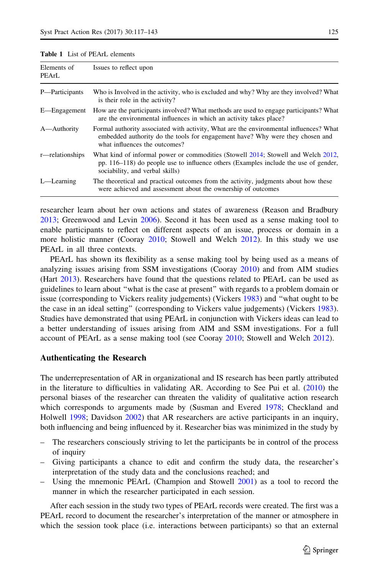| Elements of<br>PEArL | Issues to reflect upon                                                                                                                                                                                      |  |
|----------------------|-------------------------------------------------------------------------------------------------------------------------------------------------------------------------------------------------------------|--|
| P-Participants       | Who is Involved in the activity, who is excluded and why? Why are they involved? What<br>is their role in the activity?                                                                                     |  |
| E-Engagement         | How are the participants involved? What methods are used to engage participants? What<br>are the environmental influences in which an activity takes place?                                                 |  |
| A—Authority          | Formal authority associated with activity, What are the environmental influences? What<br>embedded authority do the tools for engagement have? Why were they chosen and<br>what influences the outcomes?    |  |
| r—relationships      | What kind of informal power or commodities (Stowell 2014; Stowell and Welch 2012,<br>pp. 116–118) do people use to influence others (Examples include the use of gender,<br>sociability, and verbal skills) |  |
| $L$ —Learning        | The theoretical and practical outcomes from the activity, judgments about how these<br>were achieved and assessment about the ownership of outcomes                                                         |  |

<span id="page-8-0"></span>Table 1 List of PEArL elements

researcher learn about her own actions and states of awareness (Reason and Bradbury [2013;](#page-25-0) Greenwood and Levin [2006](#page-25-0)). Second it has been used as a sense making tool to enable participants to reflect on different aspects of an issue, process or domain in a more holistic manner (Cooray [2010](#page-24-0); Stowell and Welch [2012](#page-26-0)). In this study we use PEArL in all three contexts.

PEArL has shown its flexibility as a sense making tool by being used as a means of analyzing issues arising from SSM investigations (Cooray [2010\)](#page-24-0) and from AIM studies (Hart [2013](#page-25-0)). Researchers have found that the questions related to PEArL can be used as guidelines to learn about ''what is the case at present'' with regards to a problem domain or issue (corresponding to Vickers reality judgements) (Vickers [1983](#page-26-0)) and ''what ought to be the case in an ideal setting'' (corresponding to Vickers value judgements) (Vickers [1983](#page-26-0)). Studies have demonstrated that using PEArL in conjunction with Vickers ideas can lead to a better understanding of issues arising from AIM and SSM investigations. For a full account of PEArL as a sense making tool (see Cooray [2010;](#page-24-0) Stowell and Welch [2012](#page-26-0)).

## Authenticating the Research

The underrepresentation of AR in organizational and IS research has been partly attributed in the literature to difficulties in validating AR. According to See Pui et al.  $(2010)$  $(2010)$  the personal biases of the researcher can threaten the validity of qualitative action research which corresponds to arguments made by (Susman and Evered [1978](#page-26-0); Checkland and Holwell [1998;](#page-24-0) Davidson [2002](#page-24-0)) that AR researchers are active participants in an inquiry, both influencing and being influenced by it. Researcher bias was minimized in the study by

- The researchers consciously striving to let the participants be in control of the process of inquiry
- Giving participants a chance to edit and confirm the study data, the researcher's interpretation of the study data and the conclusions reached; and
- Using the mnemonic PEArL (Champion and Stowell  $2001$ ) as a tool to record the manner in which the researcher participated in each session.

After each session in the study two types of PEArL records were created. The first was a PEArL record to document the researcher's interpretation of the manner or atmosphere in which the session took place (i.e. interactions between participants) so that an external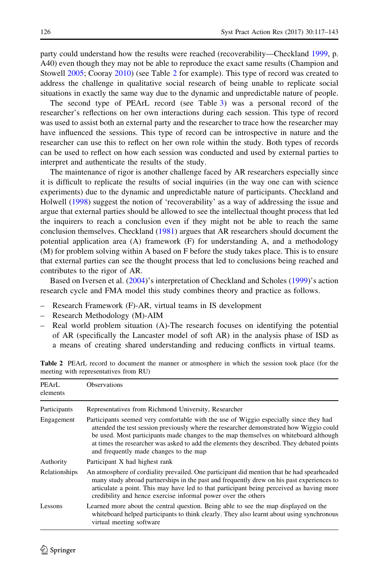<span id="page-9-0"></span>party could understand how the results were reached (recoverability—Checkland [1999](#page-24-0), p. A40) even though they may not be able to reproduce the exact same results (Champion and Stowell [2005](#page-24-0); Cooray [2010](#page-24-0)) (see Table 2 for example). This type of record was created to address the challenge in qualitative social research of being unable to replicate social situations in exactly the same way due to the dynamic and unpredictable nature of people.

The second type of PEArL record (see Table [3\)](#page-10-0) was a personal record of the researcher's reflections on her own interactions during each session. This type of record was used to assist both an external party and the researcher to trace how the researcher may have influenced the sessions. This type of record can be introspective in nature and the researcher can use this to reflect on her own role within the study. Both types of records can be used to reflect on how each session was conducted and used by external parties to interpret and authenticate the results of the study.

The maintenance of rigor is another challenge faced by AR researchers especially since it is difficult to replicate the results of social inquiries (in the way one can with science experiments) due to the dynamic and unpredictable nature of participants. Checkland and Holwell [\(1998](#page-24-0)) suggest the notion of 'recoverability' as a way of addressing the issue and argue that external parties should be allowed to see the intellectual thought process that led the inquirers to reach a conclusion even if they might not be able to reach the same conclusion themselves. Checkland ([1981\)](#page-24-0) argues that AR researchers should document the potential application area (A) framework (F) for understanding A, and a methodology (M) for problem solving within A based on F before the study takes place. This is to ensure that external parties can see the thought process that led to conclusions being reached and contributes to the rigor of AR.

Based on Iversen et al. [\(2004](#page-25-0))'s interpretation of Checkland and Scholes [\(1999](#page-24-0))'s action research cycle and FMA model this study combines theory and practice as follows.

- Research Framework (F)-AR, virtual teams in IS development
- Research Methodology (M)-AIM
- Real world problem situation (A)-The research focuses on identifying the potential of AR (specifically the Lancaster model of soft AR) in the analysis phase of ISD as a means of creating shared understanding and reducing conflicts in virtual teams.

| PEArL<br>elements | <b>Observations</b>                                                                                                                                                                                                                                                                                                                                                                                             |  |  |  |
|-------------------|-----------------------------------------------------------------------------------------------------------------------------------------------------------------------------------------------------------------------------------------------------------------------------------------------------------------------------------------------------------------------------------------------------------------|--|--|--|
| Participants      | Representatives from Richmond University, Researcher                                                                                                                                                                                                                                                                                                                                                            |  |  |  |
| Engagement        | Participants seemed very comfortable with the use of Wiggio especially since they had<br>attended the test session previously where the researcher demonstrated how Wiggio could<br>be used. Most participants made changes to the map themselves on whiteboard although<br>at times the researcher was asked to add the elements they described. They debated points<br>and frequently made changes to the map |  |  |  |
| Authority         | Participant X had highest rank                                                                                                                                                                                                                                                                                                                                                                                  |  |  |  |
| Relationships     | An atmosphere of cordiality prevailed. One participant did mention that he had spearheaded<br>many study abroad partnerships in the past and frequently drew on his past experiences to<br>articulate a point. This may have led to that participant being perceived as having more<br>credibility and hence exercise informal power over the others                                                            |  |  |  |
| Lessons           | Learned more about the central question. Being able to see the map displayed on the<br>whiteboard helped participants to think clearly. They also learnt about using synchronous<br>virtual meeting software                                                                                                                                                                                                    |  |  |  |

Table 2 PEArL record to document the manner or atmosphere in which the session took place (for the meeting with representatives from RU)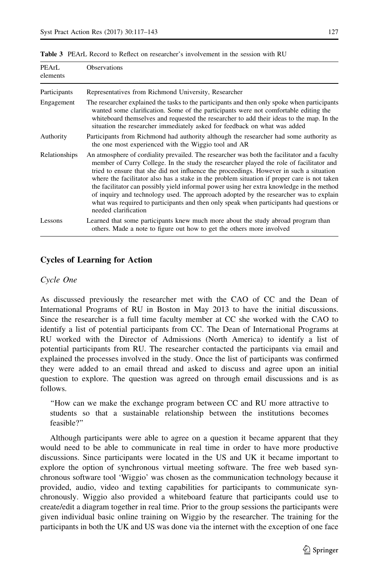| PEArL<br>elements | Observations                                                                                                                                                                                                                                                                                                                                                                                                                                                                                                                                                                                                                                                                                |  |
|-------------------|---------------------------------------------------------------------------------------------------------------------------------------------------------------------------------------------------------------------------------------------------------------------------------------------------------------------------------------------------------------------------------------------------------------------------------------------------------------------------------------------------------------------------------------------------------------------------------------------------------------------------------------------------------------------------------------------|--|
| Participants      | Representatives from Richmond University, Researcher                                                                                                                                                                                                                                                                                                                                                                                                                                                                                                                                                                                                                                        |  |
| Engagement        | The researcher explained the tasks to the participants and then only spoke when participants<br>wanted some clarification. Some of the participants were not comfortable editing the<br>whiteboard themselves and requested the researcher to add their ideas to the map. In the<br>situation the researcher immediately asked for feedback on what was added                                                                                                                                                                                                                                                                                                                               |  |
| Authority         | Participants from Richmond had authority although the researcher had some authority as<br>the one most experienced with the Wiggio tool and AR                                                                                                                                                                                                                                                                                                                                                                                                                                                                                                                                              |  |
| Relationships     | An atmosphere of cordiality prevailed. The researcher was both the facilitator and a faculty<br>member of Curry College. In the study the researcher played the role of facilitator and<br>tried to ensure that she did not influence the proceedings. However in such a situation<br>where the facilitator also has a stake in the problem situation if proper care is not taken<br>the facilitator can possibly yield informal power using her extra knowledge in the method<br>of inquiry and technology used. The approach adopted by the researcher was to explain<br>what was required to participants and then only speak when participants had questions or<br>needed clarification |  |
| Lessons           | Learned that some participants knew much more about the study abroad program than<br>others. Made a note to figure out how to get the others more involved                                                                                                                                                                                                                                                                                                                                                                                                                                                                                                                                  |  |

<span id="page-10-0"></span>Table 3 PEArL Record to Reflect on researcher's involvement in the session with RU

## Cycles of Learning for Action

#### Cycle One

As discussed previously the researcher met with the CAO of CC and the Dean of International Programs of RU in Boston in May 2013 to have the initial discussions. Since the researcher is a full time faculty member at CC she worked with the CAO to identify a list of potential participants from CC. The Dean of International Programs at RU worked with the Director of Admissions (North America) to identify a list of potential participants from RU. The researcher contacted the participants via email and explained the processes involved in the study. Once the list of participants was confirmed they were added to an email thread and asked to discuss and agree upon an initial question to explore. The question was agreed on through email discussions and is as follows.

''How can we make the exchange program between CC and RU more attractive to students so that a sustainable relationship between the institutions becomes feasible?''

Although participants were able to agree on a question it became apparent that they would need to be able to communicate in real time in order to have more productive discussions. Since participants were located in the US and UK it became important to explore the option of synchronous virtual meeting software. The free web based synchronous software tool 'Wiggio' was chosen as the communication technology because it provided, audio, video and texting capabilities for participants to communicate synchronously. Wiggio also provided a whiteboard feature that participants could use to create/edit a diagram together in real time. Prior to the group sessions the participants were given individual basic online training on Wiggio by the researcher. The training for the participants in both the UK and US was done via the internet with the exception of one face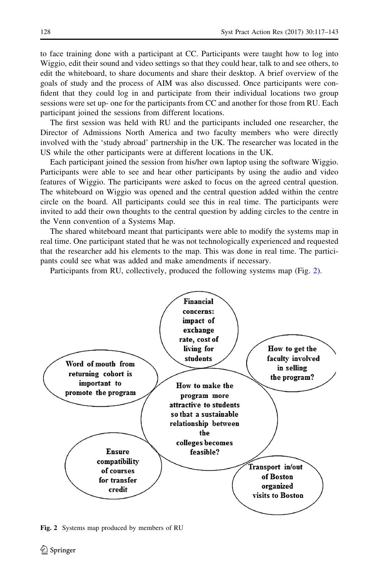to face training done with a participant at CC. Participants were taught how to log into Wiggio, edit their sound and video settings so that they could hear, talk to and see others, to edit the whiteboard, to share documents and share their desktop. A brief overview of the goals of study and the process of AIM was also discussed. Once participants were confident that they could log in and participate from their individual locations two group sessions were set up- one for the participants from CC and another for those from RU. Each participant joined the sessions from different locations.

The first session was held with RU and the participants included one researcher, the Director of Admissions North America and two faculty members who were directly involved with the 'study abroad' partnership in the UK. The researcher was located in the US while the other participants were at different locations in the UK.

Each participant joined the session from his/her own laptop using the software Wiggio. Participants were able to see and hear other participants by using the audio and video features of Wiggio. The participants were asked to focus on the agreed central question. The whiteboard on Wiggio was opened and the central question added within the centre circle on the board. All participants could see this in real time. The participants were invited to add their own thoughts to the central question by adding circles to the centre in the Venn convention of a Systems Map.

The shared whiteboard meant that participants were able to modify the systems map in real time. One participant stated that he was not technologically experienced and requested that the researcher add his elements to the map. This was done in real time. The participants could see what was added and make amendments if necessary.

Participants from RU, collectively, produced the following systems map (Fig. 2).



Fig. 2 Systems map produced by members of RU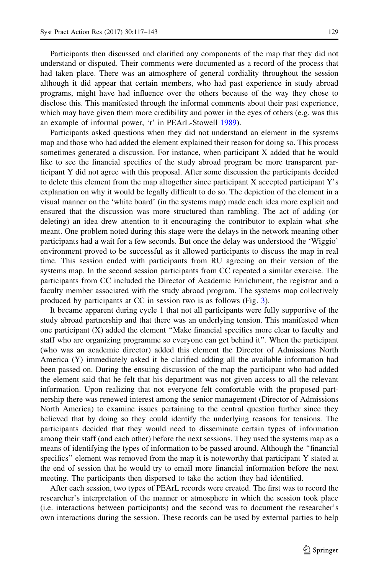Participants then discussed and clarified any components of the map that they did not understand or disputed. Their comments were documented as a record of the process that had taken place. There was an atmosphere of general cordiality throughout the session although it did appear that certain members, who had past experience in study abroad programs, might have had influence over the others because of the way they chose to disclose this. This manifested through the informal comments about their past experience, which may have given them more credibility and power in the eyes of others (e.g. was this an example of informal power, 'r' in PEArL-Stowell [1989\)](#page-26-0).

Participants asked questions when they did not understand an element in the systems map and those who had added the element explained their reason for doing so. This process sometimes generated a discussion. For instance, when participant X added that he would like to see the financial specifics of the study abroad program be more transparent participant Y did not agree with this proposal. After some discussion the participants decided to delete this element from the map altogether since participant X accepted participant Y's explanation on why it would be legally difficult to do so. The depiction of the element in a visual manner on the 'white board' (in the systems map) made each idea more explicit and ensured that the discussion was more structured than rambling. The act of adding (or deleting) an idea drew attention to it encouraging the contributor to explain what s/he meant. One problem noted during this stage were the delays in the network meaning other participants had a wait for a few seconds. But once the delay was understood the 'Wiggio' environment proved to be successful as it allowed participants to discuss the map in real time. This session ended with participants from RU agreeing on their version of the systems map. In the second session participants from CC repeated a similar exercise. The participants from CC included the Director of Academic Enrichment, the registrar and a faculty member associated with the study abroad program. The systems map collectively produced by participants at CC in session two is as follows (Fig. [3\)](#page-13-0).

It became apparent during cycle 1 that not all participants were fully supportive of the study abroad partnership and that there was an underlying tension. This manifested when one participant (X) added the element ''Make financial specifics more clear to faculty and staff who are organizing programme so everyone can get behind it''. When the participant (who was an academic director) added this element the Director of Admissions North America (Y) immediately asked it be clarified adding all the available information had been passed on. During the ensuing discussion of the map the participant who had added the element said that he felt that his department was not given access to all the relevant information. Upon realizing that not everyone felt comfortable with the proposed partnership there was renewed interest among the senior management (Director of Admissions North America) to examine issues pertaining to the central question further since they believed that by doing so they could identify the underlying reasons for tensions. The participants decided that they would need to disseminate certain types of information among their staff (and each other) before the next sessions. They used the systems map as a means of identifying the types of information to be passed around. Although the ''financial specifics'' element was removed from the map it is noteworthy that participant Y stated at the end of session that he would try to email more financial information before the next meeting. The participants then dispersed to take the action they had identified.

After each session, two types of PEArL records were created. The first was to record the researcher's interpretation of the manner or atmosphere in which the session took place (i.e. interactions between participants) and the second was to document the researcher's own interactions during the session. These records can be used by external parties to help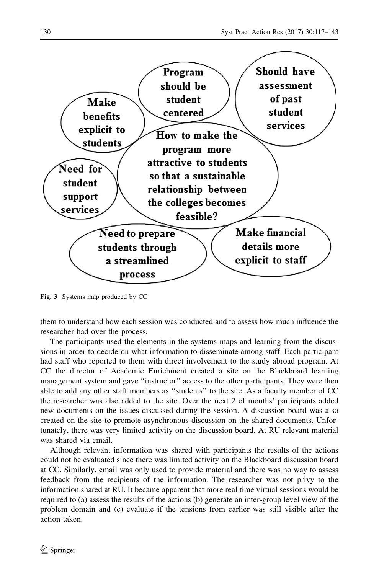<span id="page-13-0"></span>

Fig. 3 Systems map produced by CC

them to understand how each session was conducted and to assess how much influence the researcher had over the process.

The participants used the elements in the systems maps and learning from the discussions in order to decide on what information to disseminate among staff. Each participant had staff who reported to them with direct involvement to the study abroad program. At CC the director of Academic Enrichment created a site on the Blackboard learning management system and gave ''instructor'' access to the other participants. They were then able to add any other staff members as ''students'' to the site. As a faculty member of CC the researcher was also added to the site. Over the next 2 of months' participants added new documents on the issues discussed during the session. A discussion board was also created on the site to promote asynchronous discussion on the shared documents. Unfortunately, there was very limited activity on the discussion board. At RU relevant material was shared via email.

Although relevant information was shared with participants the results of the actions could not be evaluated since there was limited activity on the Blackboard discussion board at CC. Similarly, email was only used to provide material and there was no way to assess feedback from the recipients of the information. The researcher was not privy to the information shared at RU. It became apparent that more real time virtual sessions would be required to (a) assess the results of the actions (b) generate an inter-group level view of the problem domain and (c) evaluate if the tensions from earlier was still visible after the action taken.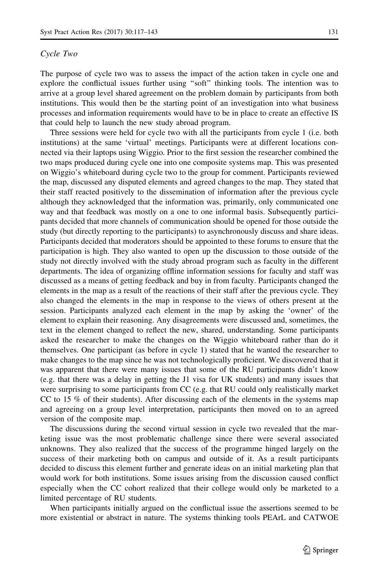#### Cycle Two

The purpose of cycle two was to assess the impact of the action taken in cycle one and explore the conflictual issues further using ''soft'' thinking tools. The intention was to arrive at a group level shared agreement on the problem domain by participants from both institutions. This would then be the starting point of an investigation into what business processes and information requirements would have to be in place to create an effective IS that could help to launch the new study abroad program.

Three sessions were held for cycle two with all the participants from cycle 1 (i.e. both institutions) at the same 'virtual' meetings. Participants were at different locations connected via their laptops using Wiggio. Prior to the first session the researcher combined the two maps produced during cycle one into one composite systems map. This was presented on Wiggio's whiteboard during cycle two to the group for comment. Participants reviewed the map, discussed any disputed elements and agreed changes to the map. They stated that their staff reacted positively to the dissemination of information after the previous cycle although they acknowledged that the information was, primarily, only communicated one way and that feedback was mostly on a one to one informal basis. Subsequently participants decided that more channels of communication should be opened for those outside the study (but directly reporting to the participants) to asynchronously discuss and share ideas. Participants decided that moderators should be appointed to these forums to ensure that the participation is high. They also wanted to open up the discussion to those outside of the study not directly involved with the study abroad program such as faculty in the different departments. The idea of organizing offline information sessions for faculty and staff was discussed as a means of getting feedback and buy in from faculty. Participants changed the elements in the map as a result of the reactions of their staff after the previous cycle. They also changed the elements in the map in response to the views of others present at the session. Participants analyzed each element in the map by asking the 'owner' of the element to explain their reasoning. Any disagreements were discussed and, sometimes, the text in the element changed to reflect the new, shared, understanding. Some participants asked the researcher to make the changes on the Wiggio whiteboard rather than do it themselves. One participant (as before in cycle 1) stated that he wanted the researcher to make changes to the map since he was not technologically proficient. We discovered that it was apparent that there were many issues that some of the RU participants didn't know (e.g. that there was a delay in getting the J1 visa for UK students) and many issues that were surprising to some participants from CC (e.g. that RU could only realistically market CC to 15 % of their students). After discussing each of the elements in the systems map and agreeing on a group level interpretation, participants then moved on to an agreed version of the composite map.

The discussions during the second virtual session in cycle two revealed that the marketing issue was the most problematic challenge since there were several associated unknowns. They also realized that the success of the programme hinged largely on the success of their marketing both on campus and outside of it. As a result participants decided to discuss this element further and generate ideas on an initial marketing plan that would work for both institutions. Some issues arising from the discussion caused conflict especially when the CC cohort realized that their college would only be marketed to a limited percentage of RU students.

When participants initially argued on the conflictual issue the assertions seemed to be more existential or abstract in nature. The systems thinking tools PEArL and CATWOE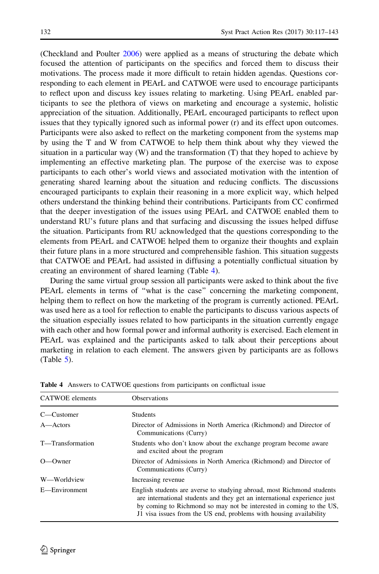(Checkland and Poulter [2006\)](#page-24-0) were applied as a means of structuring the debate which focused the attention of participants on the specifics and forced them to discuss their motivations. The process made it more difficult to retain hidden agendas. Questions corresponding to each element in PEArL and CATWOE were used to encourage participants to reflect upon and discuss key issues relating to marketing. Using PEArL enabled participants to see the plethora of views on marketing and encourage a systemic, holistic appreciation of the situation. Additionally, PEArL encouraged participants to reflect upon issues that they typically ignored such as informal power (r) and its effect upon outcomes. Participants were also asked to reflect on the marketing component from the systems map by using the T and W from CATWOE to help them think about why they viewed the situation in a particular way (W) and the transformation (T) that they hoped to achieve by implementing an effective marketing plan. The purpose of the exercise was to expose participants to each other's world views and associated motivation with the intention of generating shared learning about the situation and reducing conflicts. The discussions encouraged participants to explain their reasoning in a more explicit way, which helped others understand the thinking behind their contributions. Participants from CC confirmed that the deeper investigation of the issues using PEArL and CATWOE enabled them to understand RU's future plans and that surfacing and discussing the issues helped diffuse the situation. Participants from RU acknowledged that the questions corresponding to the elements from PEArL and CATWOE helped them to organize their thoughts and explain their future plans in a more structured and comprehensible fashion. This situation suggests that CATWOE and PEArL had assisted in diffusing a potentially conflictual situation by creating an environment of shared learning (Table 4).

During the same virtual group session all participants were asked to think about the five PEArL elements in terms of "what is the case" concerning the marketing component, helping them to reflect on how the marketing of the program is currently actioned. PEArL was used here as a tool for reflection to enable the participants to discuss various aspects of the situation especially issues related to how participants in the situation currently engage with each other and how formal power and informal authority is exercised. Each element in PEArL was explained and the participants asked to talk about their perceptions about marketing in relation to each element. The answers given by participants are as follows  $(Table 5)$  $(Table 5)$  $(Table 5)$ .

| <b>CATWOE</b> elements | <b>Observations</b>                                                                                                                                                                                                                                                                             |  |
|------------------------|-------------------------------------------------------------------------------------------------------------------------------------------------------------------------------------------------------------------------------------------------------------------------------------------------|--|
| C—Customer             | <b>Students</b>                                                                                                                                                                                                                                                                                 |  |
| A—Actors               | Director of Admissions in North America (Richmond) and Director of<br>Communications (Curry)                                                                                                                                                                                                    |  |
| T-Transformation       | Students who don't know about the exchange program become aware<br>and excited about the program                                                                                                                                                                                                |  |
| $O$ — $O$ wner         | Director of Admissions in North America (Richmond) and Director of<br>Communications (Curry)                                                                                                                                                                                                    |  |
| W—Worldview            | Increasing revenue                                                                                                                                                                                                                                                                              |  |
| E—Environment          | English students are averse to studying abroad, most Richmond students<br>are international students and they get an international experience just<br>by coming to Richmond so may not be interested in coming to the US,<br>J1 visa issues from the US end, problems with housing availability |  |

Table 4 Answers to CATWOE questions from participants on conflictual issue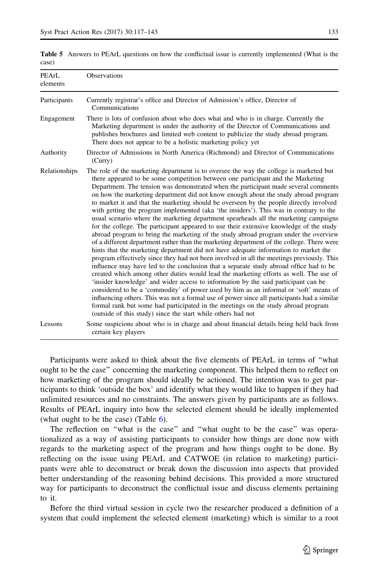| PEArL<br>elements | Observations                                                                                                                                                                                                                                                                                                                                                                                                                                                                                                                                                                                                                                                                                                                                                                                                                                                                                                                                                                                                                                                                                                                                                                                                                                                                                                                                                                                                                                                                                                                                                                                                                                                                                                                 |  |
|-------------------|------------------------------------------------------------------------------------------------------------------------------------------------------------------------------------------------------------------------------------------------------------------------------------------------------------------------------------------------------------------------------------------------------------------------------------------------------------------------------------------------------------------------------------------------------------------------------------------------------------------------------------------------------------------------------------------------------------------------------------------------------------------------------------------------------------------------------------------------------------------------------------------------------------------------------------------------------------------------------------------------------------------------------------------------------------------------------------------------------------------------------------------------------------------------------------------------------------------------------------------------------------------------------------------------------------------------------------------------------------------------------------------------------------------------------------------------------------------------------------------------------------------------------------------------------------------------------------------------------------------------------------------------------------------------------------------------------------------------------|--|
| Participants      | Currently registrar's office and Director of Admission's office, Director of<br>Communications                                                                                                                                                                                                                                                                                                                                                                                                                                                                                                                                                                                                                                                                                                                                                                                                                                                                                                                                                                                                                                                                                                                                                                                                                                                                                                                                                                                                                                                                                                                                                                                                                               |  |
| Engagement        | There is lots of confusion about who does what and who is in charge. Currently the<br>Marketing department is under the authority of the Director of Communications and<br>publishes brochures and limited web content to publicize the study abroad program.<br>There does not appear to be a holistic marketing policy yet                                                                                                                                                                                                                                                                                                                                                                                                                                                                                                                                                                                                                                                                                                                                                                                                                                                                                                                                                                                                                                                                                                                                                                                                                                                                                                                                                                                                 |  |
| Authority         | Director of Admissions in North America (Richmond) and Director of Communications<br>(Carry)                                                                                                                                                                                                                                                                                                                                                                                                                                                                                                                                                                                                                                                                                                                                                                                                                                                                                                                                                                                                                                                                                                                                                                                                                                                                                                                                                                                                                                                                                                                                                                                                                                 |  |
| Relationships     | The role of the marketing department is to oversee the way the college is marketed but<br>there appeared to be some competition between one participant and the Marketing<br>Department. The tension was demonstrated when the participant made several comments<br>on how the marketing department did not know enough about the study abroad program<br>to market it and that the marketing should be overseen by the people directly involved<br>with getting the program implemented (aka 'the insiders'). This was in contrary to the<br>usual scenario where the marketing department spearheads all the marketing campaigns<br>for the college. The participant appeared to use their extensive knowledge of the study<br>abroad program to bring the marketing of the study abroad program under the overview<br>of a different department rather than the marketing department of the college. There were<br>hints that the marketing department did not have adequate information to market the<br>program effectively since they had not been involved in all the meetings previously. This<br>influence may have led to the conclusion that a separate study abroad office had to be<br>created which among other duties would lead the marketing efforts as well. The use of<br>'insider knowledge' and wider access to information by the said participant can be<br>considered to be a 'commodity' of power used by him as an informal or 'soft' means of<br>influencing others. This was not a formal use of power since all participants had a similar<br>formal rank but some had participated in the meetings on the study abroad program<br>(outside of this study) since the start while others had not |  |
| Lessons           | Some suspicions about who is in charge and about financial details being held back from<br>certain key players                                                                                                                                                                                                                                                                                                                                                                                                                                                                                                                                                                                                                                                                                                                                                                                                                                                                                                                                                                                                                                                                                                                                                                                                                                                                                                                                                                                                                                                                                                                                                                                                               |  |

<span id="page-16-0"></span>Table 5 Answers to PEArL questions on how the conflictual issue is currently implemented (What is the case)

Participants were asked to think about the five elements of PEArL in terms of ''what ought to be the case'' concerning the marketing component. This helped them to reflect on how marketing of the program should ideally be actioned. The intention was to get participants to think 'outside the box' and identify what they would like to happen if they had unlimited resources and no constraints. The answers given by participants are as follows. Results of PEArL inquiry into how the selected element should be ideally implemented (what ought to be the case) (Table  $6$ ).

The reflection on ''what is the case'' and ''what ought to be the case'' was operationalized as a way of assisting participants to consider how things are done now with regards to the marketing aspect of the program and how things ought to be done. By reflecting on the issue using PEArL and CATWOE (in relation to marketing) participants were able to deconstruct or break down the discussion into aspects that provided better understanding of the reasoning behind decisions. This provided a more structured way for participants to deconstruct the conflictual issue and discuss elements pertaining to it.

Before the third virtual session in cycle two the researcher produced a definition of a system that could implement the selected element (marketing) which is similar to a root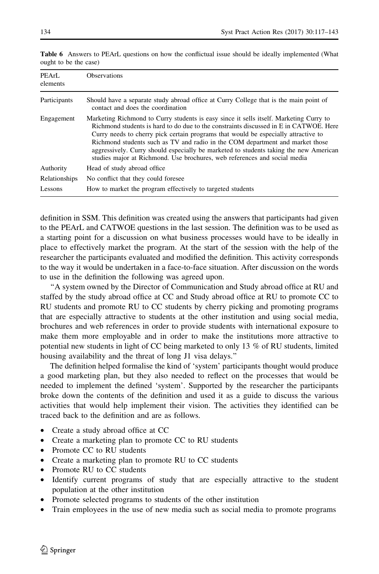| PEArL<br>elements | <b>Observations</b>                                                                                                                                                                                                                                                                                                                                                                                                                                                                                                          |  |
|-------------------|------------------------------------------------------------------------------------------------------------------------------------------------------------------------------------------------------------------------------------------------------------------------------------------------------------------------------------------------------------------------------------------------------------------------------------------------------------------------------------------------------------------------------|--|
| Participants      | Should have a separate study abroad office at Curry College that is the main point of<br>contact and does the coordination                                                                                                                                                                                                                                                                                                                                                                                                   |  |
| Engagement        | Marketing Richmond to Curry students is easy since it sells itself. Marketing Curry to<br>Richmond students is hard to do due to the constraints discussed in E in CATWOE. Here<br>Curry needs to cherry pick certain programs that would be especially attractive to<br>Richmond students such as TV and radio in the COM department and market those<br>aggressively. Curry should especially be marketed to students taking the new American<br>studies major at Richmond. Use brochures, web references and social media |  |
| Authority         | Head of study abroad office.                                                                                                                                                                                                                                                                                                                                                                                                                                                                                                 |  |
| Relationships     | No conflict that they could foresee                                                                                                                                                                                                                                                                                                                                                                                                                                                                                          |  |
| Lessons           | How to market the program effectively to targeted students                                                                                                                                                                                                                                                                                                                                                                                                                                                                   |  |
|                   |                                                                                                                                                                                                                                                                                                                                                                                                                                                                                                                              |  |

<span id="page-17-0"></span>Table 6 Answers to PEArL questions on how the conflictual issue should be ideally implemented (What ought to be the case)

definition in SSM. This definition was created using the answers that participants had given to the PEArL and CATWOE questions in the last session. The definition was to be used as a starting point for a discussion on what business processes would have to be ideally in place to effectively market the program. At the start of the session with the help of the researcher the participants evaluated and modified the definition. This activity corresponds to the way it would be undertaken in a face-to-face situation. After discussion on the words to use in the definition the following was agreed upon.

''A system owned by the Director of Communication and Study abroad office at RU and staffed by the study abroad office at CC and Study abroad office at RU to promote CC to RU students and promote RU to CC students by cherry picking and promoting programs that are especially attractive to students at the other institution and using social media, brochures and web references in order to provide students with international exposure to make them more employable and in order to make the institutions more attractive to potential new students in light of CC being marketed to only 13 % of RU students, limited housing availability and the threat of long J1 visa delays.''

The definition helped formalise the kind of 'system' participants thought would produce a good marketing plan, but they also needed to reflect on the processes that would be needed to implement the defined 'system'. Supported by the researcher the participants broke down the contents of the definition and used it as a guide to discuss the various activities that would help implement their vision. The activities they identified can be traced back to the definition and are as follows.

- Create a study abroad office at CC
- Create a marketing plan to promote CC to RU students
- Promote CC to RU students
- Create a marketing plan to promote RU to CC students
- Promote RU to CC students
- Identify current programs of study that are especially attractive to the student population at the other institution
- Promote selected programs to students of the other institution
- Train employees in the use of new media such as social media to promote programs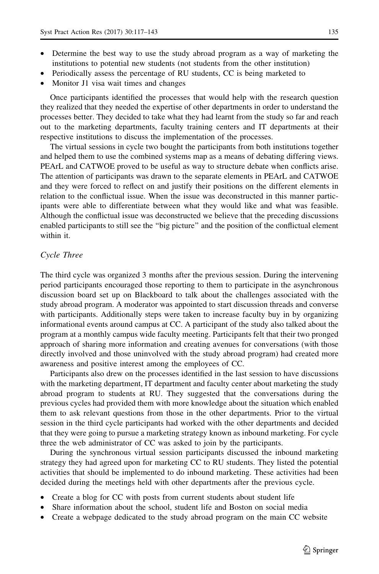- Determine the best way to use the study abroad program as a way of marketing the institutions to potential new students (not students from the other institution)
- Periodically assess the percentage of RU students, CC is being marketed to
- Monitor J1 visa wait times and changes

Once participants identified the processes that would help with the research question they realized that they needed the expertise of other departments in order to understand the processes better. They decided to take what they had learnt from the study so far and reach out to the marketing departments, faculty training centers and IT departments at their respective institutions to discuss the implementation of the processes.

The virtual sessions in cycle two bought the participants from both institutions together and helped them to use the combined systems map as a means of debating differing views. PEArL and CATWOE proved to be useful as way to structure debate when conflicts arise. The attention of participants was drawn to the separate elements in PEArL and CATWOE and they were forced to reflect on and justify their positions on the different elements in relation to the conflictual issue. When the issue was deconstructed in this manner participants were able to differentiate between what they would like and what was feasible. Although the conflictual issue was deconstructed we believe that the preceding discussions enabled participants to still see the ''big picture'' and the position of the conflictual element within it.

## Cycle Three

The third cycle was organized 3 months after the previous session. During the intervening period participants encouraged those reporting to them to participate in the asynchronous discussion board set up on Blackboard to talk about the challenges associated with the study abroad program. A moderator was appointed to start discussion threads and converse with participants. Additionally steps were taken to increase faculty buy in by organizing informational events around campus at CC. A participant of the study also talked about the program at a monthly campus wide faculty meeting. Participants felt that their two pronged approach of sharing more information and creating avenues for conversations (with those directly involved and those uninvolved with the study abroad program) had created more awareness and positive interest among the employees of CC.

Participants also drew on the processes identified in the last session to have discussions with the marketing department, IT department and faculty center about marketing the study abroad program to students at RU. They suggested that the conversations during the previous cycles had provided them with more knowledge about the situation which enabled them to ask relevant questions from those in the other departments. Prior to the virtual session in the third cycle participants had worked with the other departments and decided that they were going to pursue a marketing strategy known as inbound marketing. For cycle three the web administrator of CC was asked to join by the participants.

During the synchronous virtual session participants discussed the inbound marketing strategy they had agreed upon for marketing CC to RU students. They listed the potential activities that should be implemented to do inbound marketing. These activities had been decided during the meetings held with other departments after the previous cycle.

- Create a blog for CC with posts from current students about student life
- Share information about the school, student life and Boston on social media
- Create a webpage dedicated to the study abroad program on the main CC website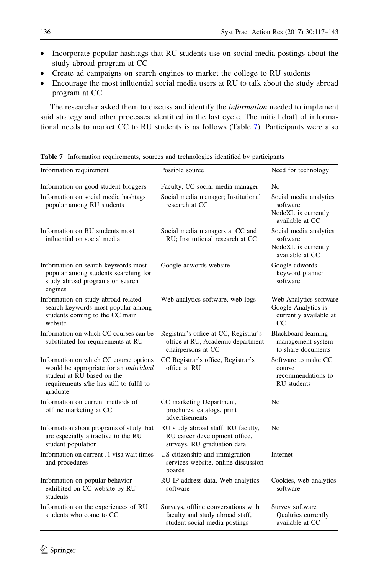- <span id="page-19-0"></span>• Incorporate popular hashtags that RU students use on social media postings about the study abroad program at CC
- Create ad campaigns on search engines to market the college to RU students
- Encourage the most influential social media users at RU to talk about the study abroad program at CC

The researcher asked them to discuss and identify the information needed to implement said strategy and other processes identified in the last cycle. The initial draft of informational needs to market CC to RU students is as follows (Table 7). Participants were also

| Information requirement                                                                                                                                                | Possible source                                                                                         | Need for technology                                                           |
|------------------------------------------------------------------------------------------------------------------------------------------------------------------------|---------------------------------------------------------------------------------------------------------|-------------------------------------------------------------------------------|
| Information on good student bloggers                                                                                                                                   | Faculty, CC social media manager                                                                        | N <sub>0</sub>                                                                |
| Information on social media hashtags<br>popular among RU students                                                                                                      | Social media manager; Institutional<br>research at CC                                                   | Social media analytics<br>software                                            |
|                                                                                                                                                                        |                                                                                                         | NodeXL is currently<br>available at CC                                        |
| Information on RU students most<br>influential on social media                                                                                                         | Social media managers at CC and<br>RU; Institutional research at CC                                     | Social media analytics<br>software<br>NodeXL is currently<br>available at CC  |
| Information on search keywords most<br>popular among students searching for<br>study abroad programs on search<br>engines                                              | Google adwords website                                                                                  | Google adwords<br>keyword planner<br>software                                 |
| Information on study abroad related<br>search keywords most popular among<br>students coming to the CC main<br>website                                                 | Web analytics software, web logs                                                                        | Web Analytics software<br>Google Analytics is<br>currently available at<br>CC |
| Information on which CC courses can be<br>substituted for requirements at RU                                                                                           | Registrar's office at CC, Registrar's<br>office at RU, Academic department<br>chairpersons at CC        | <b>Blackboard learning</b><br>management system<br>to share documents         |
| Information on which CC course options<br>would be appropriate for an individual<br>student at RU based on the<br>requirements s/he has still to fulfil to<br>graduate | CC Registrar's office, Registrar's<br>office at RU                                                      | Software to make CC<br>course<br>recommendations to<br>RU students            |
| Information on current methods of<br>offline marketing at CC                                                                                                           | CC marketing Department,<br>brochures, catalogs, print<br>advertisements                                | No                                                                            |
| Information about programs of study that<br>are especially attractive to the RU<br>student population                                                                  | RU study abroad staff, RU faculty,<br>RU career development office,<br>surveys, RU graduation data      | N <sub>0</sub>                                                                |
| Information on current J1 visa wait times<br>and procedures                                                                                                            | US citizenship and immigration<br>services website, online discussion<br>boards                         | Internet                                                                      |
| Information on popular behavior<br>exhibited on CC website by RU<br>students                                                                                           | RU IP address data, Web analytics<br>software                                                           | Cookies, web analytics<br>software                                            |
| Information on the experiences of RU<br>students who come to CC                                                                                                        | Surveys, offline conversations with<br>faculty and study abroad staff,<br>student social media postings | Survey software<br>Qualtrics currently<br>available at CC                     |

Table 7 Information requirements, sources and technologies identified by participants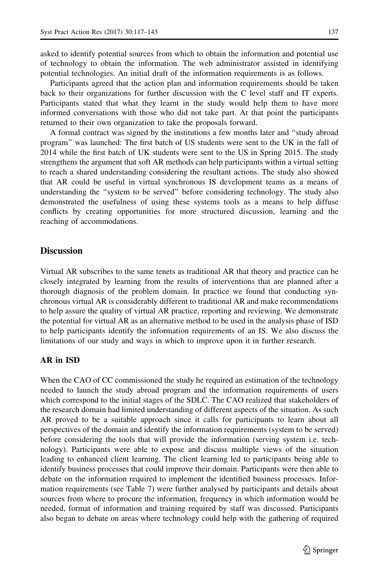asked to identify potential sources from which to obtain the information and potential use of technology to obtain the information. The web administrator assisted in identifying potential technologies. An initial draft of the information requirements is as follows.

Participants agreed that the action plan and information requirements should be taken back to their organizations for further discussion with the C level staff and IT experts. Participants stated that what they learnt in the study would help them to have more informed conversations with those who did not take part. At that point the participants returned to their own organization to take the proposals forward.

A formal contract was signed by the institutions a few months later and ''study abroad program'' was launched: The first batch of US students were sent to the UK in the fall of 2014 while the first batch of UK students were sent to the US in Spring 2015. The study strengthens the argument that soft AR methods can help participants within a virtual setting to reach a shared understanding considering the resultant actions. The study also showed that AR could be useful in virtual synchronous IS development teams as a means of understanding the ''system to be served'' before considering technology. The study also demonstrated the usefulness of using these systems tools as a means to help diffuse conflicts by creating opportunities for more structured discussion, learning and the reaching of accommodations.

## **Discussion**

Virtual AR subscribes to the same tenets as traditional AR that theory and practice can be closely integrated by learning from the results of interventions that are planned after a thorough diagnosis of the problem domain. In practice we found that conducting synchronous virtual AR is considerably different to traditional AR and make recommendations to help assure the quality of virtual AR practice, reporting and reviewing. We demonstrate the potential for virtual AR as an alternative method to be used in the analysis phase of ISD to help participants identify the information requirements of an IS. We also discuss the limitations of our study and ways in which to improve upon it in further research.

## AR in ISD

When the CAO of CC commissioned the study he required an estimation of the technology needed to launch the study abroad program and the information requirements of users which correspond to the initial stages of the SDLC. The CAO realized that stakeholders of the research domain had limited understanding of different aspects of the situation. As such AR proved to be a suitable approach since it calls for participants to learn about all perspectives of the domain and identify the information requirements (system to be served) before considering the tools that will provide the information (serving system i.e. technology). Participants were able to expose and discuss multiple views of the situation leading to enhanced client learning. The client learning led to participants being able to identify business processes that could improve their domain. Participants were then able to debate on the information required to implement the identified business processes. Information requirements (see Table [7](#page-19-0)) were further analysed by participants and details about sources from where to procure the information, frequency in which information would be needed, format of information and training required by staff was discussed. Participants also began to debate on areas where technology could help with the gathering of required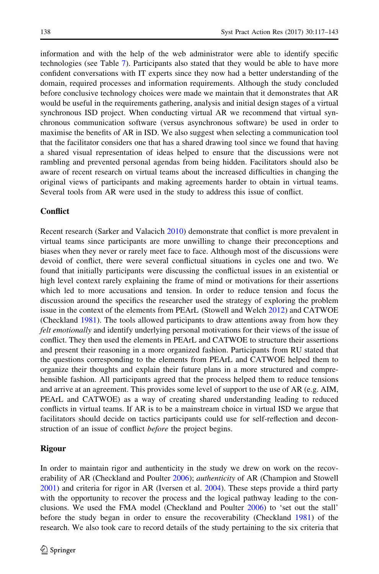information and with the help of the web administrator were able to identify specific technologies (see Table [7\)](#page-19-0). Participants also stated that they would be able to have more confident conversations with IT experts since they now had a better understanding of the domain, required processes and information requirements. Although the study concluded before conclusive technology choices were made we maintain that it demonstrates that AR would be useful in the requirements gathering, analysis and initial design stages of a virtual synchronous ISD project. When conducting virtual AR we recommend that virtual synchronous communication software (versus asynchronous software) be used in order to maximise the benefits of AR in ISD. We also suggest when selecting a communication tool that the facilitator considers one that has a shared drawing tool since we found that having a shared visual representation of ideas helped to ensure that the discussions were not rambling and prevented personal agendas from being hidden. Facilitators should also be aware of recent research on virtual teams about the increased difficulties in changing the original views of participants and making agreements harder to obtain in virtual teams. Several tools from AR were used in the study to address this issue of conflict.

#### **Conflict**

Recent research (Sarker and Valacich [2010\)](#page-25-0) demonstrate that conflict is more prevalent in virtual teams since participants are more unwilling to change their preconceptions and biases when they never or rarely meet face to face. Although most of the discussions were devoid of conflict, there were several conflictual situations in cycles one and two. We found that initially participants were discussing the conflictual issues in an existential or high level context rarely explaining the frame of mind or motivations for their assertions which led to more accusations and tension. In order to reduce tension and focus the discussion around the specifics the researcher used the strategy of exploring the problem issue in the context of the elements from PEArL (Stowell and Welch [2012](#page-26-0)) and CATWOE (Checkland [1981](#page-24-0)). The tools allowed participants to draw attentions away from how they felt emotionally and identify underlying personal motivations for their views of the issue of conflict. They then used the elements in PEArL and CATWOE to structure their assertions and present their reasoning in a more organized fashion. Participants from RU stated that the questions corresponding to the elements from PEArL and CATWOE helped them to organize their thoughts and explain their future plans in a more structured and comprehensible fashion. All participants agreed that the process helped them to reduce tensions and arrive at an agreement. This provides some level of support to the use of AR (e.g. AIM, PEArL and CATWOE) as a way of creating shared understanding leading to reduced conflicts in virtual teams. If AR is to be a mainstream choice in virtual ISD we argue that facilitators should decide on tactics participants could use for self-reflection and deconstruction of an issue of conflict *before* the project begins.

## Rigour

In order to maintain rigor and authenticity in the study we drew on work on the recov-erability of AR (Checkland and Poulter [2006](#page-24-0)); *authenticity* of AR (Champion and Stowell [2001\)](#page-24-0) and criteria for rigor in AR (Iversen et al. [2004](#page-25-0)). These steps provide a third party with the opportunity to recover the process and the logical pathway leading to the conclusions. We used the FMA model (Checkland and Poulter [2006\)](#page-24-0) to 'set out the stall' before the study began in order to ensure the recoverability (Checkland [1981](#page-24-0)) of the research. We also took care to record details of the study pertaining to the six criteria that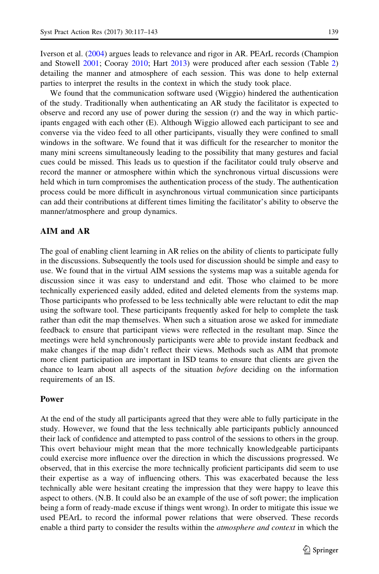Iverson et al. [\(2004](#page-25-0)) argues leads to relevance and rigor in AR. PEArL records (Champion and Stowell [2001](#page-24-0); Cooray [2010;](#page-24-0) Hart [2013\)](#page-25-0) were produced after each session (Table [2](#page-9-0)) detailing the manner and atmosphere of each session. This was done to help external parties to interpret the results in the context in which the study took place.

We found that the communication software used (Wiggio) hindered the authentication of the study. Traditionally when authenticating an AR study the facilitator is expected to observe and record any use of power during the session (r) and the way in which participants engaged with each other (E). Although Wiggio allowed each participant to see and converse via the video feed to all other participants, visually they were confined to small windows in the software. We found that it was difficult for the researcher to monitor the many mini screens simultaneously leading to the possibility that many gestures and facial cues could be missed. This leads us to question if the facilitator could truly observe and record the manner or atmosphere within which the synchronous virtual discussions were held which in turn compromises the authentication process of the study. The authentication process could be more difficult in asynchronous virtual communication since participants can add their contributions at different times limiting the facilitator's ability to observe the manner/atmosphere and group dynamics.

## AIM and AR

The goal of enabling client learning in AR relies on the ability of clients to participate fully in the discussions. Subsequently the tools used for discussion should be simple and easy to use. We found that in the virtual AIM sessions the systems map was a suitable agenda for discussion since it was easy to understand and edit. Those who claimed to be more technically experienced easily added, edited and deleted elements from the systems map. Those participants who professed to be less technically able were reluctant to edit the map using the software tool. These participants frequently asked for help to complete the task rather than edit the map themselves. When such a situation arose we asked for immediate feedback to ensure that participant views were reflected in the resultant map. Since the meetings were held synchronously participants were able to provide instant feedback and make changes if the map didn't reflect their views. Methods such as AIM that promote more client participation are important in ISD teams to ensure that clients are given the chance to learn about all aspects of the situation before deciding on the information requirements of an IS.

#### Power

At the end of the study all participants agreed that they were able to fully participate in the study. However, we found that the less technically able participants publicly announced their lack of confidence and attempted to pass control of the sessions to others in the group. This overt behaviour might mean that the more technically knowledgeable participants could exercise more influence over the direction in which the discussions progressed. We observed, that in this exercise the more technically proficient participants did seem to use their expertise as a way of influencing others. This was exacerbated because the less technically able were hesitant creating the impression that they were happy to leave this aspect to others. (N.B. It could also be an example of the use of soft power; the implication being a form of ready-made excuse if things went wrong). In order to mitigate this issue we used PEArL to record the informal power relations that were observed. These records enable a third party to consider the results within the *atmosphere and context* in which the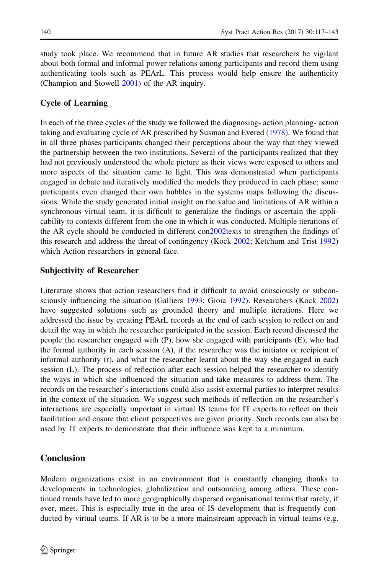study took place. We recommend that in future AR studies that researchers be vigilant about both formal and informal power relations among participants and record them using authenticating tools such as PEArL. This process would help ensure the authenticity (Champion and Stowell [2001](#page-24-0)) of the AR inquiry.

# Cycle of Learning

In each of the three cycles of the study we followed the diagnosing- action planning- action taking and evaluating cycle of AR prescribed by Susman and Evered ([1978\)](#page-26-0). We found that in all three phases participants changed their perceptions about the way that they viewed the partnership between the two institutions. Several of the participants realized that they had not previously understood the whole picture as their views were exposed to others and more aspects of the situation came to light. This was demonstrated when participants engaged in debate and iteratively modified the models they produced in each phase; some participants even changed their own bubbles in the systems maps following the discussions. While the study generated initial insight on the value and limitations of AR within a synchronous virtual team, it is difficult to generalize the findings or ascertain the applicability to contexts different from the one in which it was conducted. Multiple iterations of the AR cycle should be conducted in different co[n2002](#page-25-0)texts to strengthen the findings of this research and address the threat of contingency (Kock [2002](#page-25-0); Ketchum and Trist [1992](#page-25-0)) which Action researchers in general face.

## Subjectivity of Researcher

Literature shows that action researchers find it difficult to avoid consciously or subconsciously influencing the situation (Galliers [1993;](#page-25-0) Gioia [1992\)](#page-25-0). Researchers (Kock [2002](#page-25-0)) have suggested solutions such as grounded theory and multiple iterations. Here we addressed the issue by creating PEArL records at the end of each session to reflect on and detail the way in which the researcher participated in the session. Each record discussed the people the researcher engaged with (P), how she engaged with participants (E), who had the formal authority in each session (A), if the researcher was the initiator or recipient of informal authority (r), and what the researcher learnt about the way she engaged in each session (L). The process of reflection after each session helped the researcher to identify the ways in which she influenced the situation and take measures to address them. The records on the researcher's interactions could also assist external parties to interpret results in the context of the situation. We suggest such methods of reflection on the researcher's interactions are especially important in virtual IS teams for IT experts to reflect on their facilitation and ensure that client perspectives are given priority. Such records can also be used by IT experts to demonstrate that their influence was kept to a minimum.

## Conclusion

Modern organizations exist in an environment that is constantly changing thanks to developments in technologies, globalization and outsourcing among others. These continued trends have led to more geographically dispersed organisational teams that rarely, if ever, meet. This is especially true in the area of IS development that is frequently conducted by virtual teams. If AR is to be a more mainstream approach in virtual teams (e.g.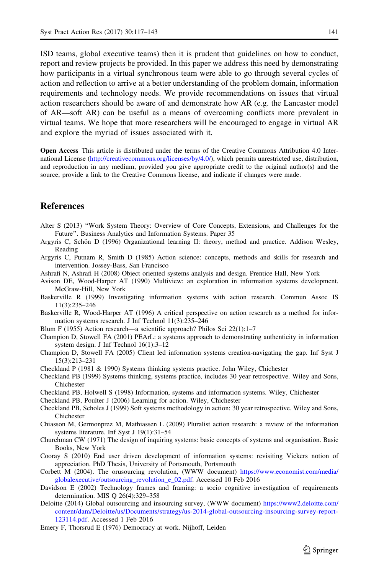<span id="page-24-0"></span>ISD teams, global executive teams) then it is prudent that guidelines on how to conduct, report and review projects be provided. In this paper we address this need by demonstrating how participants in a virtual synchronous team were able to go through several cycles of action and reflection to arrive at a better understanding of the problem domain, information requirements and technology needs. We provide recommendations on issues that virtual action researchers should be aware of and demonstrate how AR (e.g. the Lancaster model of AR—soft AR) can be useful as a means of overcoming conflicts more prevalent in virtual teams. We hope that more researchers will be encouraged to engage in virtual AR and explore the myriad of issues associated with it.

Open Access This article is distributed under the terms of the Creative Commons Attribution 4.0 International License [\(http://creativecommons.org/licenses/by/4.0/\)](http://creativecommons.org/licenses/by/4.0/), which permits unrestricted use, distribution, and reproduction in any medium, provided you give appropriate credit to the original author(s) and the source, provide a link to the Creative Commons license, and indicate if changes were made.

# References

- Alter S (2013) ''Work System Theory: Overview of Core Concepts, Extensions, and Challenges for the Future''. Business Analytics and Information Systems. Paper 35
- Argyris C, Schön D (1996) Organizational learning II: theory, method and practice. Addison Wesley, Reading
- Argyris C, Putnam R, Smith D (1985) Action science: concepts, methods and skills for research and intervention. Jossey-Bass, San Francisco
- Ashrafi N, Ashrafi H (2008) Object oriented systems analysis and design. Prentice Hall, New York
- Avison DE, Wood-Harper AT (1990) Multiview: an exploration in information systems development. McGraw-Hill, New York
- Baskerville R (1999) Investigating information systems with action research. Commun Assoc IS 11(3):235–246
- Baskerville R, Wood-Harper AT (1996) A critical perspective on action research as a method for information systems research. J Inf Technol 11(3):235–246
- Blum F (1955) Action research—a scientific approach? Philos Sci 22(1):1–7
- Champion D, Stowell FA (2001) PEArL: a systems approach to demonstrating authenticity in information system design. J Inf Technol 16(1):3–12
- Champion D, Stowell FA (2005) Client led information systems creation-navigating the gap. Inf Syst J 15(3):213–231
- Checkland P (1981 & 1990) Systems thinking systems practice. John Wiley, Chichester
- Checkland PB (1999) Systems thinking, systems practice, includes 30 year retrospective. Wiley and Sons, Chichester
- Checkland PB, Holwell S (1998) Information, systems and information systems. Wiley, Chichester
- Checkland PB, Poulter J (2006) Learning for action. Wiley, Chichester
- Checkland PB, Scholes J (1999) Soft systems methodology in action: 30 year retrospective. Wiley and Sons, Chichester
- Chiasson M, Germonprez M, Mathiassen L (2009) Pluralist action research: a review of the information systems literature. Inf Syst J 19(1):31–54
- Churchman CW (1971) The design of inquiring systems: basic concepts of systems and organisation. Basic Books, New York
- Cooray S (2010) End user driven development of information systems: revisiting Vickers notion of appreciation. PhD Thesis, University of Portsmouth, Portsmouth
- Corbett M (2004). The orusourcing revolution, (WWW document) [https://www.economist.com/media/](https://www.economist.com/media/globalexecutive/outsourcing_revolution_e_02.pdf) [globalexecutive/outsourcing\\_revolution\\_e\\_02.pdf.](https://www.economist.com/media/globalexecutive/outsourcing_revolution_e_02.pdf) Accessed 10 Feb 2016
- Davidson E (2002) Technology frames and framing: a socio cognitive investigation of requirements determination. MIS Q 26(4):329–358
- Deloitte (2014) Global outsourcing and insourcing survey, (WWW document) [https://www2.deloitte.com/](https://www2.deloitte.com/content/dam/Deloitte/us/Documents/strategy/us-2014-global-outsourcing-insourcing-survey-report-123114.pdf) [content/dam/Deloitte/us/Documents/strategy/us-2014-global-outsourcing-insourcing-survey-report-](https://www2.deloitte.com/content/dam/Deloitte/us/Documents/strategy/us-2014-global-outsourcing-insourcing-survey-report-123114.pdf)[123114.pdf](https://www2.deloitte.com/content/dam/Deloitte/us/Documents/strategy/us-2014-global-outsourcing-insourcing-survey-report-123114.pdf). Accessed 1 Feb 2016
- Emery F, Thorsrud E (1976) Democracy at work. Nijhoff, Leiden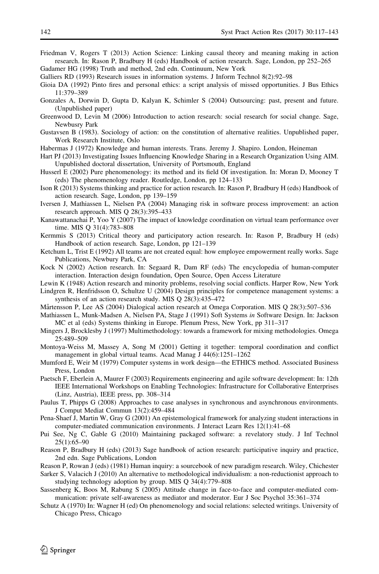- <span id="page-25-0"></span>Friedman V, Rogers T (2013) Action Science: Linking causal theory and meaning making in action research. In: Rason P, Bradbury H (eds) Handbook of action research. Sage, London, pp 252–265 Gadamer HG (1998) Truth and method, 2nd edn. Continuum, New York
- Galliers RD (1993) Research issues in information systems. J Inform Technol 8(2):92–98
- Gioia DA (1992) Pinto fires and personal ethics: a script analysis of missed opportunities. J Bus Ethics 11:379–389
- Gonzales A, Dorwin D, Gupta D, Kalyan K, Schimler S (2004) Outsourcing: past, present and future. (Unpublished paper)
- Greenwood D, Levin M (2006) Introduction to action research: social research for social change. Sage, Newbusry Park
- Gustavsen B (1983). Sociology of action: on the constitution of alternative realities. Unpublished paper, Work Research Institute, Oslo
- Habermas J (1972) Knowledge and human interests. Trans. Jeremy J. Shapiro. London, Heineman
- Hart PJ (2013) Investigating Issues Influencing Knowledge Sharing in a Research Organization Using AIM. Unpublished doctoral dissertation, University of Portsmouth, England
- Husserl E (2002) Pure phenomenology: its method and its field Of investigation. In: Moran D, Mooney T (eds) The phenomenology reader. Routledge, London, pp 124–133
- Ison R (2013) Systems thinking and practice for action research. In: Rason P, Bradbury H (eds) Handbook of action research. Sage, London, pp 139–159
- Iversen J, Mathiassen L, Nielsen PA (2004) Managing risk in software process improvement: an action research approach. MIS Q 28(3):395–433
- Kanawattanachai P, Yoo Y (2007) The impact of knowledge coordination on virtual team performance over time. MIS Q 31(4):783–808
- Kermmis S (2013) Critical theory and participatory action research. In: Rason P, Bradbury H (eds) Handbook of action research. Sage, London, pp 121–139
- Ketchum L, Trist E (1992) All teams are not created equal: how employee empowerment really works. Sage Publications, Newbury Park, CA
- Kock N (2002) Action research. In: Segaard R, Dam RF (eds) The encyclopedia of human-computer interaction. Interaction design foundation, Open Source, Open Access Literature
- Lewin K (1948) Action research and minority problems, resolving social conflicts. Harper Row, New York Lindgren R, Henfridsson O, Schultze U (2004) Design principles for competence management systems: a
- synthesis of an action research study. MIS Q 28(3):435–472
- Mårtensson P, Lee AS (2004) Dialogical action research at Omega Corporation. MIS O 28(3):507–536
- Mathiassen L, Munk-Madsen A, Nielsen PA, Stage J (1991) Soft Systems in Software Design. In: Jackson MC et al (eds) Systems thinking in Europe. Plenum Press, New York, pp 311–317
- Mingers J, Brocklesby J (1997) Multimethodology: towards a framework for mixing methodologies. Omega 25:489–509
- Montoya-Weiss M, Massey A, Song M (2001) Getting it together: temporal coordination and conflict management in global virtual teams. Acad Manag J 44(6):1251–1262
- Mumford E, Weir M (1979) Computer systems in work design—the ETHICS method. Associated Business Press, London
- Paetsch F, Eberlein A, Maurer F (2003) Requirements engineering and agile software development: In: 12th IEEE International Workshops on Enabling Technologies: Infrastructure for Collaborative Enterprises (Linz, Austria), IEEE press, pp. 308–314
- Paulus T, Phipps G (2008) Approaches to case analyses in synchronous and asynchronous environments. J Comput Mediat Commun 13(2):459–484
- Pena-Shaef J, Martin W, Gray G (2001) An epistemological framework for analyzing student interactions in computer-mediated communication environments. J Interact Learn Res 12(1):41–68
- Pui See, Ng C, Gable G (2010) Maintaining packaged software: a revelatory study. J Inf Technol 25(1):65–90
- Reason P, Bradbury H (eds) (2013) Sage handbook of action research: participative inquiry and practice, 2nd edn. Sage Publications, London
- Reason P, Rowan J (eds) (1981) Human inquiry: a sourcebook of new paradigm research. Wiley, Chichester
- Sarker S, Valacich J (2010) An alternative to methodological individualism: a non-reductionist approach to studying technology adoption by group. MIS Q 34(4):779–808
- Sassenberg K, Boos M, Rabung S (2005) Attitude change in face-to-face and computer-mediated communication: private self-awareness as mediator and moderator. Eur J Soc Psychol 35:361–374
- Schutz A (1970) In: Wagner H (ed) On phenomenology and social relations: selected writings. University of Chicago Press, Chicago